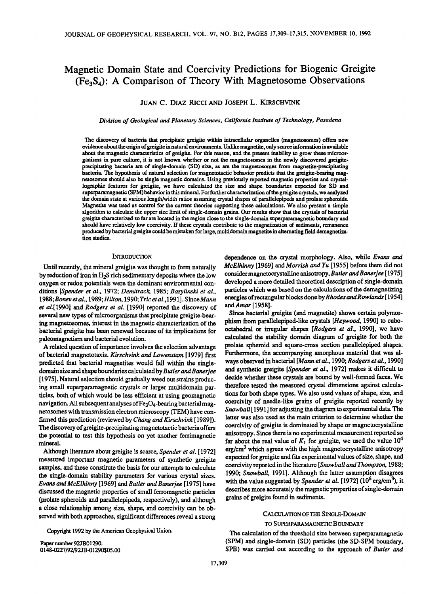# Magnetic Domain State and Coercivity Predictions for Biogenic Greigite  $(F_{\mathcal{C}_3}S_4)$ : A Comparison of Theory With Magnetosome Observations

## JUAN C. DIAZ RICCI AND JOSEPH L. KIRSCHVINK

*Division of Geological and Planetary Sciences, California Institute of Technology, Pasadena* 

The discovery of bacteria that precipitate greigite within intracellular organelles (magnetosomes) offers new evidence about the origin of greigite in natural environments. Unlike magnetite, only scarce information is available about the magnetic characteristics of greigite. For this reason, and the present inability to grow these microorganisms in pure culture, it is not known whether or not the magnetosomes in the newly discovered greigiteprecipitating bacteria are of single-domain (SD) size, as are the magnetosomes from magnetite-precipitating bacteria. The hypothesis of natural selection for magnetotactic behavior predicts that the greigite-bearing magnetosomes should also be single magnetic domains. Using previously reported magnetic properties and crystallographic features for greigite, we have calculated the size and shape boundaries expected for SD and superparamagnetic (SPM) behavior in this mineral. For further characterization of the greigite crystals, we analyzed the domain state at various length/width ratios assuming crystal shapes of parallelepipeds and prolate spheroids. Magnetite was used as control for the current theories supporting these calculations. We also present a simple algorithm to calculate the upper size limit of single-domain grains. Our results show that the crystals of bacterial greigite characterized so far are located in the region close to the single-domain superparamagnetic boundary and should have relatively low coercivity. If these crystals contribute to the magnetization of sediments, remanence produced by bacterial greigite could be mistaken for large, multidomain magnetite in alternating field demagnetization studies.

#### **INTRODUCTION**

Until recently, the mineral greigite was thought to form naturally by reduction of iron in  $H_2S$  rich sedimentary deposits where the low oxygen or redox potentials were the dominant environmental conditions *[Spender et al.,* 1972; *Demitrack,* 1985; *Bazylinski et al., 1988;Bonevetal.,1989;Hilton,* 1990; *Tricetal.,1991].* Since *Mann et al.[1990]* and *Rodgers et al.* [1990] reported the discovery of several new types of microorganisms that precipitate greigite-bearing magnetosomes, interest in the magnetic characterization of the bacterial greigite has been renewed because of its implications for paleomagnetism and bacterial evolution.

A related question of importance involves the selection advantage of bacterial magnetotaxis. *Kirschvink* and *Lowenstam* [1979] first predicted that bacterial magnetites would fall within the singledomain size and shape boundaries calculated by *Butler and Banerjee*  [1975]. Natural selection should gradually weed out strains producing small superparamagnetic crystals or larger multidomain particles, both of which would be less efficient at using geomagnetic navigation. All subsequent analyses of  $Fe<sub>3</sub>O<sub>4</sub>$ -bearing bacterial magnetosomes with transmission electron microscopy (TEM) have confirmed this prediction (reviewed by *Chang and Kirschvink* [1989]). The discovery of greigite-precipitating magneto tactic bacteria offers the potential to test this hypothesis on yet another ferrimagnetic mineral.

Although literature about greigite is scarce, *Spender et al.* [1972] measured important magnetic parameters of synthetic greigite samples, and these constitute the basis for our attempts to calculate the single-domain stability parameters for various crystal sizes. *Evans and McElhinny* [1969] and *Butler and Banerjee* [1975] have discussed the magnetic properties of small ferromagnetic particles (prolate spheroids and parallelepipeds, respectively), and although a close relationship among size, shape, and coercivity can be observed with both approaches, significant differences reveal a strong

Copyright 1992 by the American Geophysical Union.

Paper number 92JB01290. 0148-0227/92/92JB-01290\$05.00 dependence on the crystal morphology. Also, while *Evans* and *McElhinny* [1969] and *Morrish* and *Yu* [1955] before them did not considermagnetocrystalline anisotropy, *Butler* and *Banerjee* [ 1975] developed a more detailed theoretical description of single-domain particles which was based on the calculations of the demagnetizing energies of rectangular blocks done by *Rhodes* and *Rowlands* [1954] andAmar [1958].

Since bacterial greigite (and magnetite) shows certain polymorphism from parallelepiped-like crystals *[Heywood,* 1990] to cubaoctahedral or irregular shapes *[Rodgers et al.,* 1990], we have calculated the stability domain diagram of greigite for both the prolate spheroid and square-cross section parallelepiped shapes. Furthermore, the accompanying amorphous material that was always observed in bacterial *[Mann et al.,* 1990; *Rodgers et al.,* 1990] and synthetic greigite *[Spender et al.,* 1972] makes it difficult to decide whether these crystals are bound by well-formed faces. We therefore tested the measured crystal dimensions against calculations for both shape types. We also used values of shape, size, and coercivity of needle-like grains of greigite reported recently by *Snowball* [ 1991] for adjusting the diagram to experimental data. The latter was also used as the main criterion to determine whether the coercivity of greigite is dominated by shape or magnetocrystalline anisotropy. Since there is no experimental measurement reported so far about the real value of  $K_1$  for greigite, we used the value  $10^4$ erg/cm<sup>3</sup> which agrees with the high magnetocrystalline anisotropy expected for greigite and fits experimental values of size, shape, and coercivity reported in the literature *[S1Wwball and Thompson,* 1988; 1990; *Snowball*, 1991]. Although the latter assumption disagrees with the value suggested by *Spender et al.* [1972] (10<sup>6</sup> erg/cm<sup>3</sup>), it describes more accurately the magnetic properties of single-domain grains of greigite found in sediments.

## CALCULATIONOFTIIE SINGLE-DOMAIN

#### TO SUPERPARAMAGNETIC BOUNDARY

The calculation of the threshold size between superparamagnetic (SPM) and single-domain (SD) particles (the SD-SPM boundary, SPB) was carried out according to the approach of *Butler* and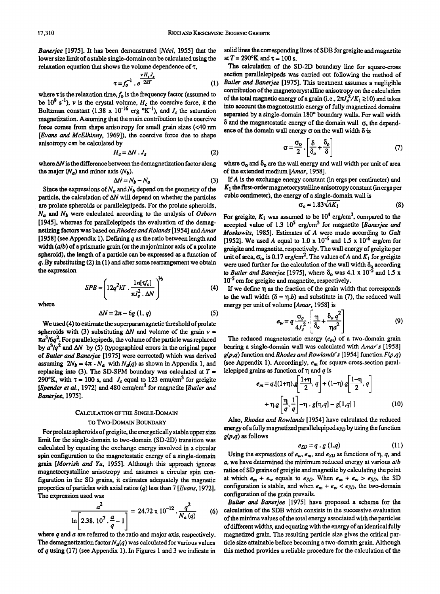*Banerjee* [1975]. It has been demonstrated *[Néel*, 1955] that the lower size limit of a stable single-domain can be calculated using the relaxation equation that shows the volume dependence of  $\tau$ ,

$$
\tau = f_0^{-1} \cdot e^{\frac{\nu H_e J_s}{2kT}} \tag{1}
$$

where  $\tau$  is the relaxation time,  $f_0$  is the frequency factor (assumed to be  $10^9$  s<sup>-1</sup>), *v* is the crystal volume,  $H_c$  the coercive force, *k* the Boltzman constant  $(1.38 \times 10^{-16} \text{ erg } ^{\circ} \text{K}^{-1})$ , and  $J_s$  the saturation magnetization. Assuming that the main contribution to the coercive force comes from shape anisotropy for small grain sizes (<40 nm *[Evans and McElhinny,* 1969]), the coercive force due to shape anisotropy can be calculated by

$$
H_c = \Delta N \cdot J_s \tag{2}
$$

where  $\Delta N$  is the difference between the demagnetization factor along the major  $(N_a)$  and minor axis  $(N_b)$ .

$$
\Delta N = N_b - N_a \tag{3}
$$

Since the expressions of  $N_a$  and  $N_b$  depend on the geometry of the particle, the calculation of  $\Delta N$  will depend on whether the particles are prolate spheroids or parallelepipeds. For the prolate spheroids, *Na* and *Nb* were calculated according to the analysis of *Osborn*  [1945], whereas for parallelepipeds the evaluation of the demagnetizing factors was *basedonRhodesandRolands* [1954] *andAmar*  [1958] (see Appendix 1). Defming *q* as the ratio between length and width  $(a/b)$  of a prismatic grain (or the major/minor axis of a prolate spheroid), the length of a particle can be expressed as a function of *q.* By substituting (2) in (1) and after some rearrangement we obtain the expression

> $SPB = \left(12q^2kT \cdot \frac{1n[\tau_0']}{\pi J_s^2 \cdot \Delta N}\right)^{1/3}$ (4)

where

$$
\Delta N = 2\pi - 6g(1, q) \tag{5}
$$

We used(4) to estimate the superparamagnetic threshold of prolate spheroids with (3) substituting  $\Delta N$  and volume of the grain  $v =$  $\pi a^3/6q^2$ . For parallelepipeds, the volume of the particle was replaced by  $a^3/q^2$  and  $\Delta N$  by (5) (typographical errors in the original paper of *Butler and Banerjee* [1975] were corrected) which was derived assuming  $2N_b = 4\pi - N_a$  with  $N_a(q)$  as shown in Appendix 1, and replacing into (3). The SD-SPM boundary was calculated at  $T =$ 290°K, with  $\tau = 100$  s, and  $J_s$  equal to 123 emu/cm<sup>3</sup> for greigite *[Spender et al.,* 1972] and 480 emu/cm3 for magnetite *[Butler and Banerjee,* 1975].

## CALCULATION OF THE SINGLE-DOMAIN TO Two-DoMAIN BOUNDARY

For prolate spheroids of greigite, the energetically stable upper size limit for the single-domain to two-domain (SD-2D) lransition was calculated by equating the exchange energy involved in a circular spin configuration to the magnetostatic energy of a single-domain grain *[Morrish and Yu,* 1955). Although this approach ignores magnetocrystalline anisolropy and assumes a circular spin configuration in the SD grains, it estimates adequately the magnetic properties of particles with axial ratios *(q)* less than 7 *[Evans,* 1972). The expression used was

$$
\frac{a^2}{\ln\left[2.38.10^7\cdot\frac{a}{q}-1\right]} = 24.72 \times 10^{-12} \cdot \frac{q^2}{N_a(q)}
$$
 (6)

where *q* and *a* are referred to the ratio and major axis, respectively. The demagnetization factor  $N_a(q)$  was calculated for various values of *q* using (17) (see Appendix 1). In Figures 1 and 3 we indicate in

solid lines the corresponding lines of SDB for greigite and magnetite at  $T = 290^{\circ}$ K and  $\tau = 100$  s.

The calculation of the SD-2D boundary line for square-cross section parallelepipeds was carried out following the method of Butler and Banerjee [1975]. This treatment assumes a negligible conlribution of the magnetocrystalline anisotropy on the calculation of the total magnetic energy of a grain (i.e.,  $2\pi J_s^2/K_1 \ge 10$ ) and takes into account the magnetostatic energy of fully magnetized domains separated by a single-domain 180° boundary walls. For wall width  $\delta$  and the magnetostatic energy of the domain wall  $\sigma$ , the dependence of the domain wall energy  $\sigma$  on the wall width  $\delta$  is

$$
\sigma = \frac{\sigma_o}{2} \cdot \left[ \frac{\delta}{\delta_o} + \frac{\delta_o}{\delta} \right] \tag{7}
$$

where  $\sigma_0$  and  $\delta_0$  are the wall energy and wall width per unit of area of the extended medium *[Amar,* 1958].

If *A* is the exchange energy constant (in ergs per centimeter) and  $K_1$  the first-order magnetocrystalline anisotropy constant (in ergs per cubic centimeter), the energy of a single-domain wall is

$$
\sigma_o = 1.83 \sqrt{AK_1} \tag{8}
$$

For greigite,  $K_1$  was assumed to be  $10^4$  erg/cm<sup>3</sup>, compared to the accepted value of 1.3 10<sup>5</sup> erg/cm<sup>3</sup> for magnetite *[Banerjee and Moskowitz,* 1985]. Estimates of *A* were made according to *Galt*  [1952]. We used A equal to 1.0 x  $10^{-6}$  and 1.5 x  $10^{-6}$  erg/cm for greigite and magnetite, respectively. The wall energy of greigite per unit of area,  $\sigma_o$ , is 0.17 erg/cm<sup>2</sup>. The values of A and  $K_1$  for greigite were used further for the calculation of the wall width  $\delta_0$  according to *Butler and Banerjee* [1975], where  $\delta_0$  was 4.1 x 10<sup>-5</sup> and 1.5 x 10<sup>-5</sup> cm for greigite and magnetite, respectively.

If we define  $\eta$  as the fraction of the grain width that corresponds to the wall width  $(\delta = \eta.b)$  and substitute in (7), the reduced wall energy per unit of volume *[Amar,* 1958] is

$$
e_w = q \frac{\sigma_o}{4J_s^2} \cdot \left[ \frac{\eta}{\delta_o} + \frac{\delta_o q^2}{\eta a^2} \right]
$$
 (9)

The reduced magnetostatic energy  $(e_m)$  of a two-domain grain bearing a single-domain wall was calculated with *Amar' s* [1958]  $g(p,q)$  function and *Rhodes and Rowlands's* [1954] function  $F(p,q)$ (see Appendix 1). Accordingly, *em* for square cross-section paral lelepiped grains as function of  $\eta$  and q is

$$
e_m = q.\left[(1+\eta).\,g\left[\frac{1+\eta}{2},\,q\right] + (1-\eta).\,g\left[\frac{1-\eta}{2},\,q\right] + \eta.\,g\left[\frac{\eta}{q},\frac{1}{q}\right] - \eta.\,g\left[\eta,q\right] - g\left[1,q\right]\,\right] \tag{10}
$$

Also, *Rhodes and Rowlands* [1954] have calculated the reduced energy of a fully magnetized parallelepiped  $e_{SD}$  by using the function *g(p,q)* as follows

$$
e_{SD} = q \cdot g \ (1,q) \tag{11}
$$

Using the expressions of  $e_w$ ,  $e_m$ , and  $e_{SD}$  as functions of  $\eta$ ,  $q$ , and *a*, we have determined the minimum reduced energy at various a/b ratios of SD grains of greigite and magnetite by calculating the point at which  $e_m + e_w$  equals to  $e_{SD}$ . When  $e_m + e_w > e_{SD}$ , the SD configuration is stable, and when  $e_m + e_w < e_{SD}$ , the two-domain configuration of the grain prevails.

*Bulter and Banerjee* [1975] have proposed a scheme for the (6) calculation of the SDB which consists in the successive evaluation of the minima values of the total energy associated with the particles of different widths, and equating with the energy of an identical fully magnetized grain. The resulting particle size gives the critical particle size attainable before becoming a two-domain grain. Although this method provides a reliable procedure for the calculation of the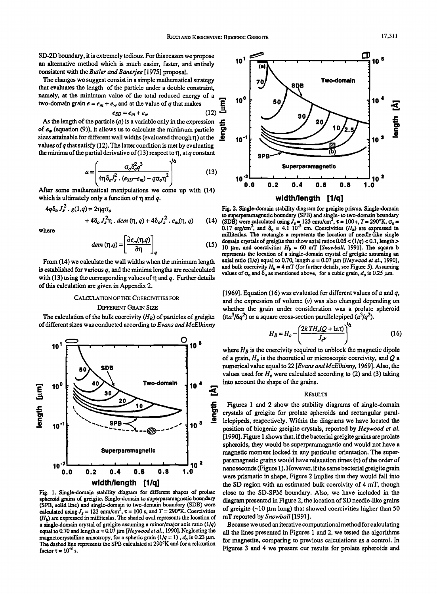SD-2D boundary, it is extremely tedious. For this reason we propose an alternative method which is much easier, faster, and entirely consistent with the *Butler* and *Banerjee* [1975] proposal.

The changes we suggest consist in a simple mathematical strategy **Two-domain Two-domain Two-domain Two-domain** that evaluates the length of the particle under a double constraint, namely, at the minimum value of the total reduced energy of a two-domain grain  $e = e_m + e_w$  and at the value of q that makes two-domain grain  $e = e_m + e_w$  and at the value of q that makes

$$
e_{SD} = e_m + e_w \tag{12}
$$

As the length of the particle (*a*) is a variable only in the expression  $f_{\epsilon_w}$  (equation (9)), it allows us to calculate the minimum particle izes attainable for different wall widths (evaluated through  $\eta$ ) at the of  $e_w$  (equation (9)), it allows us to calculate the minimum particle sizes attainable for different wall widths (evaluated through  $\eta$ ) at the values of *q* that satisfy (12). The latter condition is met by evaluating the minima of the partial derivative of (13) respect to  $\eta$ , at q constant

$$
a = \left(\frac{\sigma_o \delta_o^2 q^3}{4\eta \delta_o J_s^2 \cdot (\varepsilon_{SD} - \varepsilon_m) - q \sigma_o \eta^2}\right)^{1/2}
$$
 (13)

After some mathematical manipulations we come up with (14) which is ultimately only a function of  $\eta$  and q.

$$
4q\delta_o J_s^2 \cdot g(1,q) = 2\eta q \sigma_o + 4\delta_o J_s^2 \eta \cdot dem(\eta, q) + 4\delta_o J_s^2 \cdot e_m(\eta, q)
$$
 (14)

where

$$
dem\left(\eta, q\right) = \left[\frac{\partial e_m(\eta, q)}{\partial \eta}\right]_q\tag{15}
$$

From (14) we calculate the wall widths when the minimum length is established for various *q,* and the minima lengths are recalculated with (13) using the corresponding values of  $\eta$  and  $q$ . Further details of this calculation are given in Appendix 2.

### CALCULATION OF THE COERCIVITIES FOR DIFFERENf GRAIN SIZE

The calculation of the bulk coercivity  $(H_R)$  of particles of greigite of different sizes was conducted according to *Evans and McElhinny* 



Fig. 1. Single-domain stability diagram for different shapes of prolate spheroid grains of greigite. Single-domain to superparamagnetic boundary (SPB, solid line) and single-domain to two-domain boundary (SDB) were calculated using  $J_s = 123$  emu/cm<sup>3</sup>,  $\tau = 100$  s, and  $T = 290$ °K. Coercivities  $(H<sub>b</sub>)$  are expressed in milliteslas. The shaded oval represents the location of a single-domain crystal of greigite assuming a minor/major axis ratio (1/q) equal to 0.70 and length  $a = 0.07 \mu m$  *[Heywood et al., 1990]*. Neglecting the magnetocrystalline anisotropy, for a spheric grain  $(1/q = 1)$ ,  $d<sub>o</sub>$  is 0.23  $\mu$ m. The dashed line represents the SPB calculated at 290°K and for a relaxation factor  $\tau = 10^{-8}$  s.



Fig. 2. Single-domain stability diagram for greigite prisms. Single-domain to superparamagnetic boundary (SPB) and single- to two-domain boundary (SDB) were calculated using  $J_s = 123$  emu/cm<sup>2</sup>,  $\tau = 100$  s,  $T = 290^{\circ}\text{K}$ ,  $\sigma_o = 0.17$  erg/cm<sup>2</sup>, and  $\delta_o = 4.1 10^{-5}$  cm. Coercivities ( $H_b$ ) ar milliteslas. The rectangle a represents the location of needle-like single domain crystals of greigite that show axial ratios  $0.05 < (1/q) < 0.1$ , length > 10  $\mu$ m, and coercivities  $H_b = 60$  mT *[Snowball*, 1991]. The square b represents the location of a single-domain crystal of greigite assuming an axial ratio (1/q) equal to 0.70, length  $a = 0.07$   $\mu$ m *[Heywood et al.*, 1990], and bulk coercivity  $H_b = 4 \text{ mT}$  (for further details, see Figure 5). Assuming values of  $\sigma_0$  and  $\delta_0$  as mentioned above, for a cubic grain,  $d_0$  is 0.25  $\mu$ m.

[1969]. Equation (16) was evaluated for different values of a and *q,*  and the expression of volume (v) was also changed depending on whether the grain under consideration was a prolate spheroid  $(\pi a^3/6q^2)$  or a square cross-section parallelepiped  $(a^3/q^2)$ .

$$
H_B = H_c - \left(\frac{2k \, TH_c(Q + \ln t)}{J_s v}\right)^{\gamma_2} \tag{16}
$$

where  $H_B$  is the coercivity required to unblock the magnetic dipole of a grain,  $H_c$  is the theoretical or microscopic coercivity, and  $Q$  a numerical value equal to 22 *[EvansandMcElhinny,1969].* Also, the values used for  $H_c$  were calculated according to (2) and (3) taking into account the shape of the grains.

#### RESULTS

Figures 1 and 2 show the stability diagrams of single-domain crystals of greigite for prolate spheroids and rectangular parallelepipeds, respectively. Within the diagrams we have located the position of biogenic greigite crystals, reported by *Heywood et al.*  [1990]. Figure 1 shows that, if the bacterial greigite grains are prolate spheroids, they would be superparamagnetic and would not have a magnetic moment locked in any particular orientation. The superparamagnetic grains would have relaxation times  $(τ)$  of the order of nanoseconds (Figure 1). However, if the same bacterial greigite grain were prismatic in shape, Figure 2 implies that they would fall into the SD region with an estimated bulk coercivity of 4 mT, though close to the SD-SPM boundary. Also, we have included in the diagram presented in Figure 2, the location of SD needle-like grains of greigite  $(-10 \mu m \log)$  that showed coercivities higher than 50 mT reported by *Snowball* [1991].

Because we used an iterative computational method for calculating all the lines presented in Figures 1 and 2, we tested the algorithms for magnetite, comparing to previous calculations as a control. fu Figures 3 and 4 we present our results for prolate spheroids and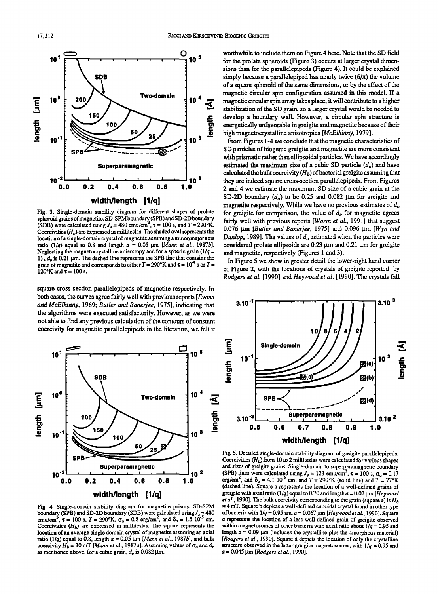

Fig. 3. Single-domain stability diagram for different shapes of prolate spheroid grains of magnetite. SD-SPM boundary (SPB) and SD-2D boundary (SDB) were calculated using  $J_s = 480$  emu/cm<sup>3</sup>,  $\tau = 100$  s, and  $T = 290$ °K. Coercivities *(Hb)* are expressed in milliteslas. The shaded oval represents the location of a single-domain crystal of magnetite assuming a minor/major axis ratio (1/q) equal to 0.8 and length  $a = 0.05$   $\mu$ m *[Mann et al., 1987b]*. Neglecting the magnetocrystalline anisotropy and for a spheric grain  $(1/q =$ 1),  $d<sub>o</sub>$  is 0.21  $\mu$ m. The dashed line represents the SPB line that contains the grain of magnetite and corresponds to either  $T = 290^{\circ}\text{K}$  and  $\tau = 10^{-4}$  s or  $T =$  $120^{\circ}$ K and  $\tau = 100$  s.

square cross-section parallelepipeds of magnetite respectively. In both cases, the curves agree fairly well with previous reports [Evans *and McElhinny,* 1969; *Butler and Banerjee,* 1975], indicating that the algorithms were executed satisfactorily. However, as we were not able to find any previous calculation of the contours of constant coercivity for magnetite parallelepipeds in the literature, we felt it



Fig. 4. Single-domain stability diagram for magnetite prisms. SD-SPM boundary (SPB) and SD-2D boundary (SDB) were calculated using  $J_s = 480$ emu/cm<sup>3</sup>,  $\tau = 100$  s,  $T = 290$ °K,  $\sigma_0 = 0.8$  erg/cm<sup>2</sup>, and  $\delta_0 = 1.5$  10<sup>-5</sup> cm. Coercivities  $(H_b)$  are expressed in milliteslas. The square represents the location of an average single domain crystal of magnetite assuming an axial ratio (1/q) equal to 0.8, length  $a = 0.05$   $\mu$ m *[Mann et al., 1987b]*, and bulk coercivity  $H_b = 30$  mT *[Mann et al.*, 1987a]. Assuming values of  $\sigma_0$  and  $\delta_0$ as mentioned above, for a cubic grain,  $d<sub>o</sub>$  is 0.082  $\mu$ m.

worthwhile to include them on Figure 4 here. Note that the SO field for the prolate spheroids (Figure 3) occurs at larger crystal dimensions than for the parallelepipeds (Figure 4). It could be explained simply because a parallelepiped has nearly twice  $(6/\pi)$  the volume of a square spheroid of the same dimensions, or by the effect of the magnetic circular spin configuration assumed in this model. If a magnetic circular spin array takes place, it will contribute to a higher stabilization of the SO grain, so a larger crystal would be needed to develop a boundary wall. However, a circular spin structure is energetically unfavorable in greigite and magnetite because of their high magnetocrystalline anisotropies *[McElhinny,* 1979] .

From Figures 1-4 we conclude that the magnetic characteristics of SO particles of biogenic greigite and magnetite are more consistent with prismatic rather than ellipsoidal particles. We have accordingly estimated the maximum size of a cubic SD particle  $(d<sub>a</sub>)$  and have calculated the bulk coercivity  $(H_h)$  of bacterial greigite assuming that they are indeed square cross-section parallelepipeds. From Figures 2 and 4 we estimate the maximum SO size of a cubic grain at the SD-2D boundary  $(d_o)$  to be 0.25 and 0.082  $\mu$ m for greigite and magnetite respectively. While we have no previous estimates of  $d<sub>o</sub>$ for greigite for comparison, the value of  $d<sub>o</sub>$  for magnetite agrees fairly well with previous reports *[Worm et al.,* 1991] that suggest 0.076 μm *[Butler and Banerjee*, 1975] and 0.096 μm *[Wyn and* **Dunlop, 1989]. The values of**  $d<sub>o</sub>$  **estimated when the particles were** considered prolate ellipsoids are  $0.23 \mu m$  and  $0.21 \mu m$  for greigite and magnetite, respectively (Figures 1 and 3).

In Figure *5* we show in greater detail the lower-right hand comer of Figure 2, with the locations of crystals of greigite reported by *Rodgers et al.* [1990] and *Heywood et al.* [1990]. The crystals fall



Fig. *5.* Detailed single-domain stability diagram of greigite parallelepipeds. Coercivities *(Hb)* from 10 to 2 milliteslas were calculated for various shapes and sizes of greigite grains. Single-domain to superparamagnetic boundary (SPB) lines were calculated using  $J_s = 123$  emu/cm<sup>3</sup>,  $\tau = 100$  s,  $\sigma_o = 0.17$ erg/cm<sup>2</sup>, and  $\delta_0 = 4.1 \, 10^{-5}$  cm, and  $T = 290$ °K (solid line) and  $T = 77$ °K (dashed line). Square a represents the location of a well-defined grains of greigite with axial ratio ( $1/q$ ) equal to 0.70 and length  $a = 0.07$  um *[Heywood*] *et al.,* 1990]. The bulk coercivity corresponding to the grain (square a) is *H* b = 4 mT. Square b depicts a well-defined cuboidal crystal found in other type of bacteria with 1/q = 0.95 and *a=* 0.067 J.lm *(Heywood et al.,* 1990]. Square c represents the location of a less well defined grain of greigite observed within magnetosomes of other bacteria with axial ratio about  $1/q = 0.95$  and length  $a = 0.09 \mu m$  (includes the crystalline plus the amorphous material) *[Rodgers et* al., 1990]. Square d depicts the location of only the crystalline structure observed in the latter greigite magnetosomes, with  $1/q = 0.95$  and *a=* 0.045 J.lm *[Rodgers et al.,* 1990].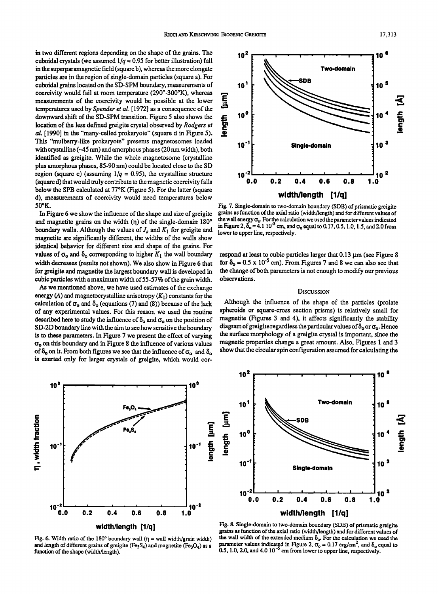in two different regions depending on the shape of the grains. The cuboidal crystals (we assumed  $1/q = 0.95$  for better illustration) fall in the superparamagnetic field (square b), whereas the more elongate particles are in the region of single-domain particles (square a). For cuboidal grains located on the SD-SPM boundary, measurements of coercivity would fail at room temperature (290°-300°K), whereas measurements of the coercivity would be possible at the lower temperatures used by *Spender et al.* [1972] as a consequence of the downward shift of the SD-SPM transition. Figure *5* also shows the location of the less defined greigite crystal observed by *Rodgers et*  al. [1990] in the "many-celled prokaryote" (square d in Figure 5). This "mulberry-like prokaryote" presents magnetosomes loaded with crystalline (-45 nm) and amorphous phases (20nm width), both identified as greigite. While the whole magnetosome (crystalline plus amorphous phases, 85-90 nm) could be located close to the SD region (square c) (assuming  $1/q = 0.95$ ), the crystalline structure (square d) that would truly contribute to the magnetic coercivity falls below the SPB calculated at 77°K (Figure 5). For the latter (square d), measurements of coercivity would need temperatures below 50°K.

In Figure 6 we show the influence of the shape and size of greigite and magnetite grains on the width  $(\eta)$  of the single-domain 180 $^{\circ}$ boundary walls. Although the values of  $J_s$  and  $K_1$  for greigite and magnetite are significantly different, the widths of the walls show identical behavior for different size and shape of the grains. For values of  $\sigma_0$  and  $\delta_0$  corresponding to higher  $K_1$  the wall boundary width decreases (results not shown). We also show in Figure 6 that for greigite and magnetite the largest boundary wall is developed in cubic particles with a maximum width of 55-57% of the grain width.

As we mentioned above, we have used estimates of the exchange energy (A) and magnetocrystalline anisotropy  $(K_1)$  constants for the calculation of  $\sigma_0$  and  $\delta_0$  (equations (7) and (8)) because of the lack of any experimental values. For this reason we used the routine described here to study the influence of  $\delta_0$  and  $\sigma_0$  on the position of SD-2D boundary line with the aim to see how sensitive the boundary is to these parameters. In Figure 7 we present the effect of varying  $\sigma_0$  on this boundary and in Figure 8 the influence of various values of  $\delta_0$  on it. From both figures we see that the influence of  $\sigma_0$  and  $\delta_0$ is exerted only for larger crystals of greigite, which would cor-



Fig. 6. Width ratio of the 180° boundary wall ( $\eta$  = wall width/grain width) and length of different grains of greigite (Fe<sub>3</sub>S<sub>4</sub>) and magnetite (Fe<sub>3</sub>O<sub>4</sub>) as a function of the shape (width/length).



Fig. 7. Single-domain to two-domain boundary (SDB) of prismatic greigite grains as function of the axial ratio (width/length) and for different values of the wall energy  $\sigma_o$ . For the calculation we used the parameter values indicated in Figure 2,  $\delta_o = 4.1 10^{-5}$  cm, and  $\sigma_o$  equal to 0.17, 0.5, 1.0, 1.5, and 2.0 from lower to upper line, respectively.

respond at least to cubic particles larger that  $0.13 \,\mu m$  (see Figure 8 for  $\delta_0 = 0.5 \times 10^{-5}$  cm). From Figures 7 and 8 we can also see that the change of both parameters is not enough to modify our previous observations.

#### **DISCUSSION**

Although the influence of the shape of the particles (prolate spheroids or square-cross section prisms) is relatively small for magnetite (Figures 3 and 4), it affects significantly the stability diagram of greigite regardless the particular values of  $\delta_0$  or  $\sigma_0$ . Hence the surface morphology of a greigite crystal is important, since the magnetic properties change a great amount. Also, Figures 1 and 3 show that the circular spin configuration assumed for calculating the



Fig. 8. Single-domain to two-domain boundary (SDB) of prismatic greigite grains as function of the axial ratio (width/length) and for different values of the wall width of the extended medium  $\delta_0$ . For the calculation we used the parameter values indicated in Figure 2,  $\sigma_{\text{o}} = 0.17$  erg/cm<sup>2</sup>, and  $\delta_{\text{o}}$  equal to 0.5, 1.0, 2.0, and 4.0 10<sup>-5</sup> cm from lower to upper line, respectively.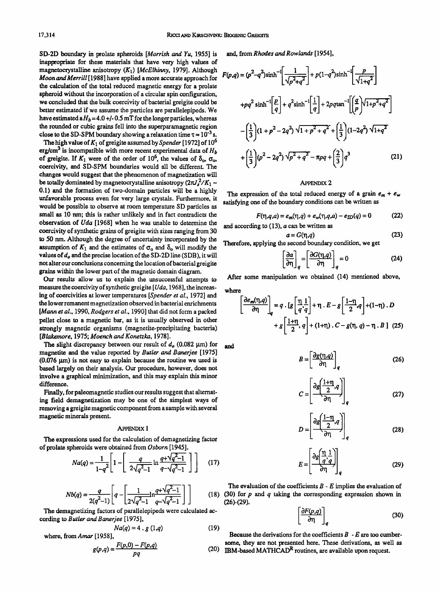S0-20 boundary in prolate spheroids *[Morrish* and *Yu,* 1955] is inappropriate for these materials that have very high values of magnetocrystalline anisotropy (K1) *[McElhinny,* 1979]. Although *Moon and Merrill* [1988] have applied a more accurate approach for the calculation of the total reduced magnetic energy for a prolate spheroid without the incorporation of a circular spin configuration, we concluded that the bulk coercivity of bacterial greigite could be better estimated if we assume the particles are parallelepipeds. We have estimated a  $H_b = 4.0 + (-0.5 \text{ mT} \text{ for the longer particles, whereas}$ the rounded or cubic grains fell into the superparamagnetic region close to the SD-SPM boundary showing a relaxation time  $\tau \approx 10^{-3}$  s.

The high value of  $K_1$  of greigite assumed by *Spender* [1972] of 10<sup>6</sup> erg/cm<sup>3</sup> is incompatible with more recent experimental data of  $H<sub>b</sub>$ of greigite. If  $K_1$  were of the order of 10<sup>6</sup>, the values of  $\delta_{0}$ ,  $\sigma_{0}$ , coercivity, and SO-SPM boundaries would all be different The changes would suggest that the phenomenon of magnetization will be totally dominated by magnetocrystalline anisotropy  $(2\pi J_s^2/K_1 -$ 0.1) and the formation of two-domain particles will be a highly unfavorable process even for very large crystals. Furthermore, it would be possible to observe at room temperature SD particles as small as 10 nm; this is rather unlikely and in fact contradicts the observation of *Uda* [1968] when he was unable to determine the coercivity of synthetic grains of greigite with sizes ranging from 30 to 50 nm. Although the degree of uncertainty incorporated by the assumption of  $K_1$  and the estimates of  $\sigma_0$  and  $\delta_0$  will modify the values of  $d<sub>o</sub>$  and the precise location of the SD-2D line (SDB), it will not alter our conclusions concerning the location of bacterial greigite grains within the lower part of the magnetic domain diagram.

Our results allow us to explain the unsuccessful attempts to measure the coercivity of synthetic greigite [ *Uda,* 1968], the increasing of coercivities at lower temperatures *[Spender et al.,* 1972] and the lower remanent magnetization observed in bacterial enrichments *[Mann et al.,* 1990, *Rodgers et al.,* 1990] that did not form a packed pellet close to a magnetic bar, as it is usually observed in other strongly magnetic organisms (magnetite-precipitating bacteria) *[Blakemore,* 1975; *Moench and Konetzka,* 1978].

The slight discrepancy between our result of  $d<sub>o</sub>$  (0.082  $\mu$ m) for magnetite and the value reported by *Butler and Banerjee* [1975]  $(0.076 \mu m)$  is not easy to explain because the routine we used is based largely on their analysis. Our procedure, however, does not involve a graphical minimization, and this may explain this minor difference.

Finally, for paleomagnetic studies our results suggest that alternating field demagnetization may be one of the simplest ways of removing a greigite magnetic component from a sample with several magnetic minerals present.

#### APPENDIX 1

The expressions used for the calculation of demagnetizing factor of prolate spheroids were obtained from *Osborn* [1945].

$$
Na(q) = \frac{1}{1-q^2} \left[ 1 - \left[ \frac{q}{2\sqrt{q^2-1}} \ln \frac{q + \sqrt{q^2-1}}{q - \sqrt{q^2-1}} \right] \right] \tag{17}
$$

$$
Nb(q) = \frac{q}{2(q^2-1)} \left[ q - \left[ \frac{1}{2\sqrt{q^2-1}} \ln \frac{q + \sqrt{q^2-1}}{q - \sqrt{q^2-1}} \right] \right]
$$
 (11)

The demagnetizing factors of parallelepipeds were calculated according to *Butler and Banerjee* [1975],

$$
Na(q) = 4 \cdot g(1,q) \tag{19}
$$

where, from Amar [1958],

$$
g(p,q) = \frac{F(p,0) - F(p,q)}{pq}
$$
 (20)

and, *fromRhodesandRowlands* [1954],

$$
F(p,q) = (p^2 - q^2)\sinh^{-1}\left[\frac{1}{\sqrt{p^2 + q^2}}\right] + p(1 - q^2)\sinh^{-1}\left[\frac{p}{\sqrt{1 + q^2}}\right]
$$
  
+
$$
pq^2 \sinh^{-1}\left[\frac{p}{q}\right] + q^2 \sinh^{-1}\left[\frac{1}{q}\right] + 2pq\tan^{-1}\left[\frac{q}{p}\right]\sqrt{1 + p^2 + q^2}
$$
  
-
$$
\left(\frac{1}{3}\right)(1 + p^2 - 2q^2)\sqrt{1 + p^2 + q^2} + \left(\frac{1}{3}\right)(1 - 2q^2)\sqrt{1 + q^2}
$$
  
+
$$
\left(\frac{1}{3}\right)(p^2 - 2q^2)\sqrt{p^2 + q^2} - \pi pq + \left(\frac{2}{3}\right)q^3
$$
(21)

### **APPENDIX 2**

The expression of the total reduced energy of a grain  $e_m + e_w$ satisfying one of the boundary conditions can be written as

$$
F(\eta, q, a) = e_m(\eta, q) + e_w(\eta, q, a) - e_{SD}(q) = 0 \tag{22}
$$

and according to (13), *a* can be written as  $a = G(\eta, q)$  (23)

Therefore, applying the second boundary condition, we get

$$
\left[\frac{\partial a}{\partial \eta}\right]_q = \left[\frac{\partial G(\eta, q)}{\partial \eta}\right]_q = 0
$$
 (24)

After some manipulation we obtained (14) mentioned above, where

$$
\left[\frac{\partial e_m(\eta, q)}{\partial \eta}\right]_q = q \cdot [g\left[\frac{\eta}{q}, \frac{1}{q}\right] + \eta \cdot E - g\left[\frac{1-\eta}{2}, q\right] + (1-\eta) \cdot D
$$

$$
+ g\left[\frac{1+\eta}{2}, q\right] + (1+\eta) \cdot C - g(\eta, q) - \eta \cdot B \quad (25)
$$

and

$$
B = \left[\frac{\partial g(\eta, q)}{\partial \eta}\right]_q \tag{26}
$$

$$
C = \left[\frac{\partial g \left(\frac{1+\eta}{2}, q\right)}{\partial \eta}\right]_q \tag{27}
$$

$$
D = \left[\frac{\partial g \left(\frac{1-\eta}{2}, q\right)}{\partial \eta}\right]_q \tag{28}
$$

$$
E = \left[\frac{\partial g \left(\frac{\eta}{q}, \frac{1}{q}\right)}{\partial \eta}\right]_q \tag{29}
$$

The evaluation of the coefficients  $B - E$  implies the evaluation of 8) (30) for  $p$  and  $q$  taking the corresponding expression shown in (26)-(29).

$$
\left[\frac{\partial F(p,q)}{\partial \eta}\right]_q \tag{30}
$$

Because the derivations for the coefficients  $B - E$  are too cumbersome, they are not presented here. These derivations, as well as (20) IBM-based MATHCAD<sup>R</sup> routines, are available upon request.